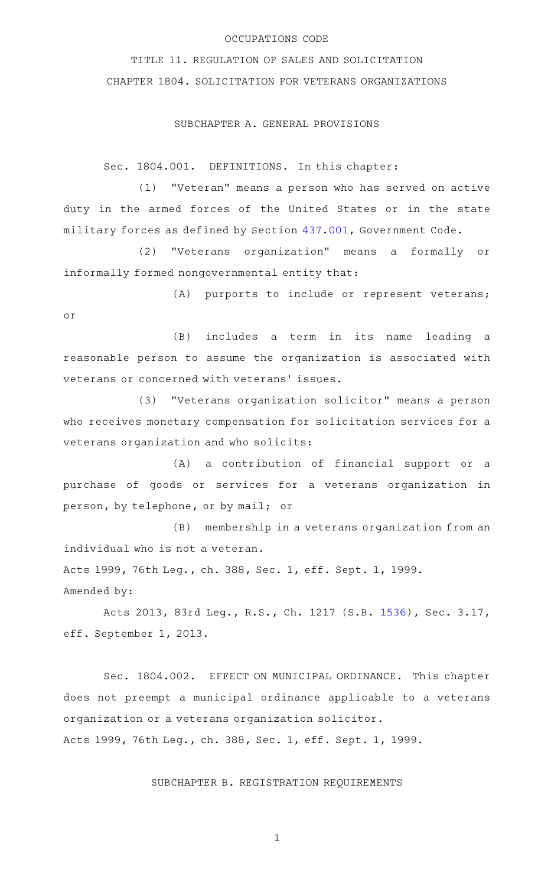### OCCUPATIONS CODE

TITLE 11. REGULATION OF SALES AND SOLICITATION CHAPTER 1804. SOLICITATION FOR VETERANS ORGANIZATIONS

### SUBCHAPTER A. GENERAL PROVISIONS

Sec. 1804.001. DEFINITIONS. In this chapter:

(1) "Veteran" means a person who has served on active duty in the armed forces of the United States or in the state military forces as defined by Section [437.001,](http://www.statutes.legis.state.tx.us/GetStatute.aspx?Code=GV&Value=437.001) Government Code.

(2) "Veterans organization" means a formally or informally formed nongovernmental entity that:

(A) purports to include or represent veterans; or

(B) includes a term in its name leading a reasonable person to assume the organization is associated with veterans or concerned with veterans' issues.

(3) "Veterans organization solicitor" means a person who receives monetary compensation for solicitation services for a veterans organization and who solicits:

(A) a contribution of financial support or a purchase of goods or services for a veterans organization in person, by telephone, or by mail; or

(B) membership in a veterans organization from an individual who is not a veteran.

Acts 1999, 76th Leg., ch. 388, Sec. 1, eff. Sept. 1, 1999. Amended by:

Acts 2013, 83rd Leg., R.S., Ch. 1217 (S.B. [1536](http://www.legis.state.tx.us/tlodocs/83R/billtext/html/SB01536F.HTM)), Sec. 3.17, eff. September 1, 2013.

Sec. 1804.002. EFFECT ON MUNICIPAL ORDINANCE. This chapter does not preempt a municipal ordinance applicable to a veterans organization or a veterans organization solicitor. Acts 1999, 76th Leg., ch. 388, Sec. 1, eff. Sept. 1, 1999.

SUBCHAPTER B. REGISTRATION REQUIREMENTS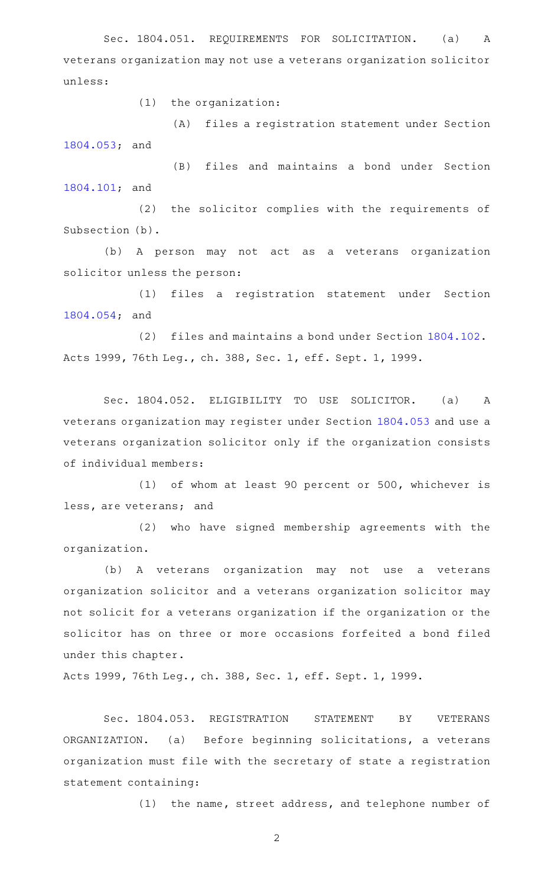Sec. 1804.051. REQUIREMENTS FOR SOLICITATION. (a) A veterans organization may not use a veterans organization solicitor unless:

 $(1)$  the organization:

(A) files a registration statement under Section [1804.053](http://www.statutes.legis.state.tx.us/GetStatute.aspx?Code=OC&Value=1804.053); and

(B) files and maintains a bond under Section [1804.101](http://www.statutes.legis.state.tx.us/GetStatute.aspx?Code=OC&Value=1804.101); and

(2) the solicitor complies with the requirements of Subsection (b).

(b) A person may not act as a veterans organization solicitor unless the person:

(1) files a registration statement under Section [1804.054](http://www.statutes.legis.state.tx.us/GetStatute.aspx?Code=OC&Value=1804.054); and

(2) files and maintains a bond under Section [1804.102.](http://www.statutes.legis.state.tx.us/GetStatute.aspx?Code=OC&Value=1804.102) Acts 1999, 76th Leg., ch. 388, Sec. 1, eff. Sept. 1, 1999.

Sec. 1804.052. ELIGIBILITY TO USE SOLICITOR. (a) A veterans organization may register under Section [1804.053](http://www.statutes.legis.state.tx.us/GetStatute.aspx?Code=OC&Value=1804.053) and use a veterans organization solicitor only if the organization consists of individual members:

(1) of whom at least 90 percent or 500, whichever is less, are veterans; and

(2) who have signed membership agreements with the organization.

(b) A veterans organization may not use a veterans organization solicitor and a veterans organization solicitor may not solicit for a veterans organization if the organization or the solicitor has on three or more occasions forfeited a bond filed under this chapter.

Acts 1999, 76th Leg., ch. 388, Sec. 1, eff. Sept. 1, 1999.

Sec. 1804.053. REGISTRATION STATEMENT BY VETERANS ORGANIZATION. (a) Before beginning solicitations, a veterans organization must file with the secretary of state a registration statement containing:

(1) the name, street address, and telephone number of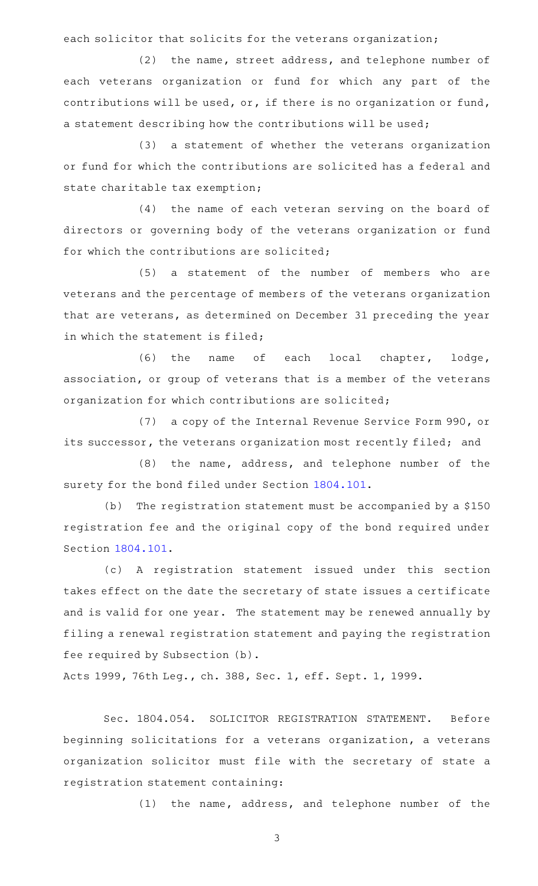each solicitor that solicits for the veterans organization;

(2) the name, street address, and telephone number of each veterans organization or fund for which any part of the contributions will be used, or, if there is no organization or fund, a statement describing how the contributions will be used;

(3) a statement of whether the veterans organization or fund for which the contributions are solicited has a federal and state charitable tax exemption;

 $(4)$  the name of each veteran serving on the board of directors or governing body of the veterans organization or fund for which the contributions are solicited;

(5) a statement of the number of members who are veterans and the percentage of members of the veterans organization that are veterans, as determined on December 31 preceding the year in which the statement is filed;

(6) the name of each local chapter, lodge, association, or group of veterans that is a member of the veterans organization for which contributions are solicited;

(7) a copy of the Internal Revenue Service Form 990, or its successor, the veterans organization most recently filed; and

(8) the name, address, and telephone number of the surety for the bond filed under Section [1804.101.](http://www.statutes.legis.state.tx.us/GetStatute.aspx?Code=OC&Value=1804.101)

(b) The registration statement must be accompanied by a \$150 registration fee and the original copy of the bond required under Section [1804.101](http://www.statutes.legis.state.tx.us/GetStatute.aspx?Code=OC&Value=1804.101).

(c)AAA registration statement issued under this section takes effect on the date the secretary of state issues a certificate and is valid for one year. The statement may be renewed annually by filing a renewal registration statement and paying the registration fee required by Subsection (b).

Acts 1999, 76th Leg., ch. 388, Sec. 1, eff. Sept. 1, 1999.

Sec. 1804.054. SOLICITOR REGISTRATION STATEMENT. Before beginning solicitations for a veterans organization, a veterans organization solicitor must file with the secretary of state a registration statement containing:

 $(1)$  the name, address, and telephone number of the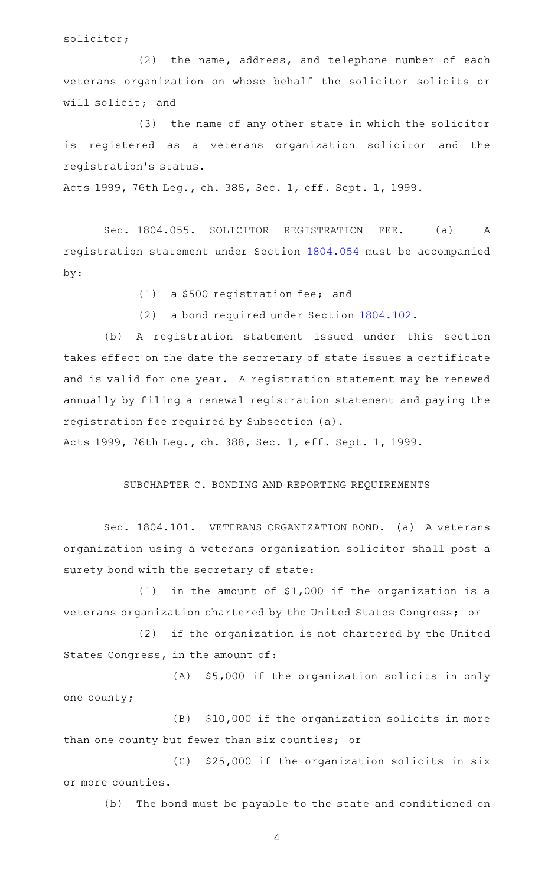solicitor;

 $(2)$  the name, address, and telephone number of each veterans organization on whose behalf the solicitor solicits or will solicit; and

(3) the name of any other state in which the solicitor is registered as a veterans organization solicitor and the registration 's status.

Acts 1999, 76th Leg., ch. 388, Sec. 1, eff. Sept. 1, 1999.

Sec. 1804.055. SOLICITOR REGISTRATION FEE. (a) A registration statement under Section [1804.054](http://www.statutes.legis.state.tx.us/GetStatute.aspx?Code=OC&Value=1804.054) must be accompanied by:

 $(1)$  a \$500 registration fee; and

(2) a bond required under Section [1804.102.](http://www.statutes.legis.state.tx.us/GetStatute.aspx?Code=OC&Value=1804.102)

(b) A registration statement issued under this section takes effect on the date the secretary of state issues a certificate and is valid for one year. A registration statement may be renewed annually by filing a renewal registration statement and paying the registration fee required by Subsection (a).

Acts 1999, 76th Leg., ch. 388, Sec. 1, eff. Sept. 1, 1999.

# SUBCHAPTER C. BONDING AND REPORTING REQUIREMENTS

Sec. 1804.101. VETERANS ORGANIZATION BOND. (a) A veterans organization using a veterans organization solicitor shall post a surety bond with the secretary of state:

(1) in the amount of  $$1,000$  if the organization is a veterans organization chartered by the United States Congress; or

(2) if the organization is not chartered by the United States Congress, in the amount of:

(A) \$5,000 if the organization solicits in only one county;

(B) \$10,000 if the organization solicits in more than one county but fewer than six counties; or

 $(C)$  \$25,000 if the organization solicits in six or more counties.

(b) The bond must be payable to the state and conditioned on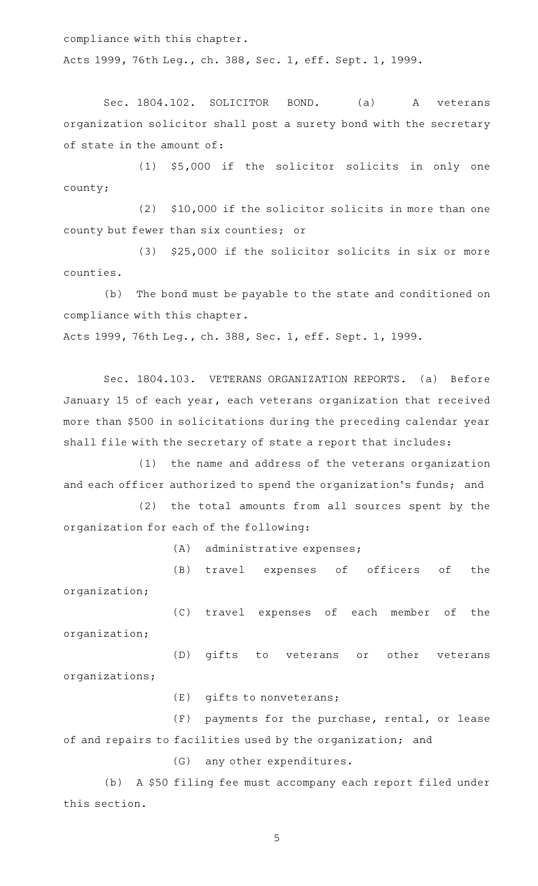compliance with this chapter.

Acts 1999, 76th Leg., ch. 388, Sec. 1, eff. Sept. 1, 1999.

Sec. 1804.102. SOLICITOR BOND. (a) A veterans organization solicitor shall post a surety bond with the secretary of state in the amount of:

 $(1)$  \$5,000 if the solicitor solicits in only one county;

 $(2)$  \$10,000 if the solicitor solicits in more than one county but fewer than six counties; or

(3) \$25,000 if the solicitor solicits in six or more counties.

(b) The bond must be payable to the state and conditioned on compliance with this chapter.

Acts 1999, 76th Leg., ch. 388, Sec. 1, eff. Sept. 1, 1999.

Sec. 1804.103. VETERANS ORGANIZATION REPORTS. (a) Before January 15 of each year, each veterans organization that received more than \$500 in solicitations during the preceding calendar year shall file with the secretary of state a report that includes:

(1) the name and address of the veterans organization and each officer authorized to spend the organization 's funds; and

(2) the total amounts from all sources spent by the organization for each of the following:

 $(A)$  administrative expenses;

(B) travel expenses of officers of the organization;

(C) travel expenses of each member of the organization;

(D) gifts to veterans or other veterans organizations;

 $(E)$  gifts to nonveterans;

(F) payments for the purchase, rental, or lease of and repairs to facilities used by the organization; and

(G) any other expenditures.

(b) A \$50 filing fee must accompany each report filed under this section.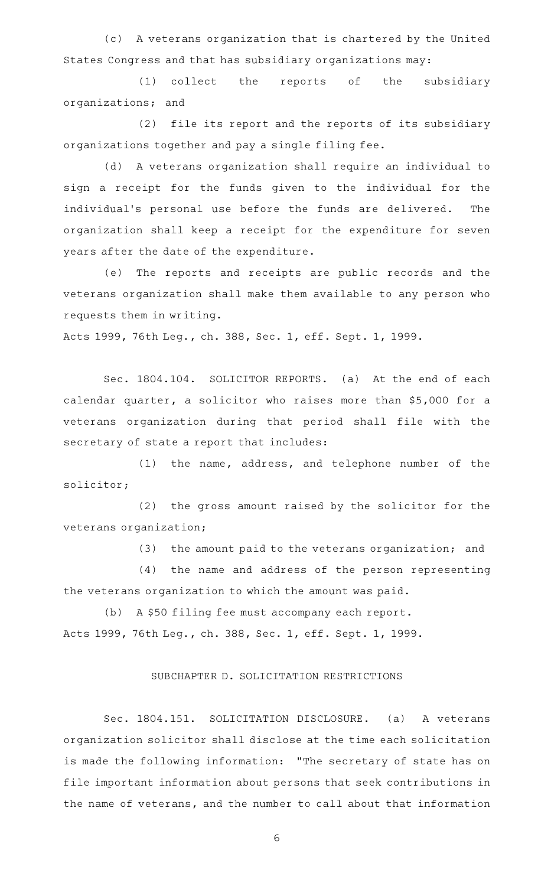(c)AAA veterans organization that is chartered by the United States Congress and that has subsidiary organizations may:

(1) collect the reports of the subsidiary organizations; and

(2) file its report and the reports of its subsidiary organizations together and pay a single filing fee.

(d) A veterans organization shall require an individual to sign a receipt for the funds given to the individual for the individual's personal use before the funds are delivered. The organization shall keep a receipt for the expenditure for seven years after the date of the expenditure.

(e) The reports and receipts are public records and the veterans organization shall make them available to any person who requests them in writing.

Acts 1999, 76th Leg., ch. 388, Sec. 1, eff. Sept. 1, 1999.

Sec. 1804.104. SOLICITOR REPORTS. (a) At the end of each calendar quarter, a solicitor who raises more than \$5,000 for a veterans organization during that period shall file with the secretary of state a report that includes:

 $(1)$  the name, address, and telephone number of the solicitor;

(2) the gross amount raised by the solicitor for the veterans organization;

(3) the amount paid to the veterans organization; and

(4) the name and address of the person representing the veterans organization to which the amount was paid.

(b) A \$50 filing fee must accompany each report. Acts 1999, 76th Leg., ch. 388, Sec. 1, eff. Sept. 1, 1999.

#### SUBCHAPTER D. SOLICITATION RESTRICTIONS

Sec. 1804.151. SOLICITATION DISCLOSURE. (a) A veterans organization solicitor shall disclose at the time each solicitation is made the following information: "The secretary of state has on file important information about persons that seek contributions in the name of veterans, and the number to call about that information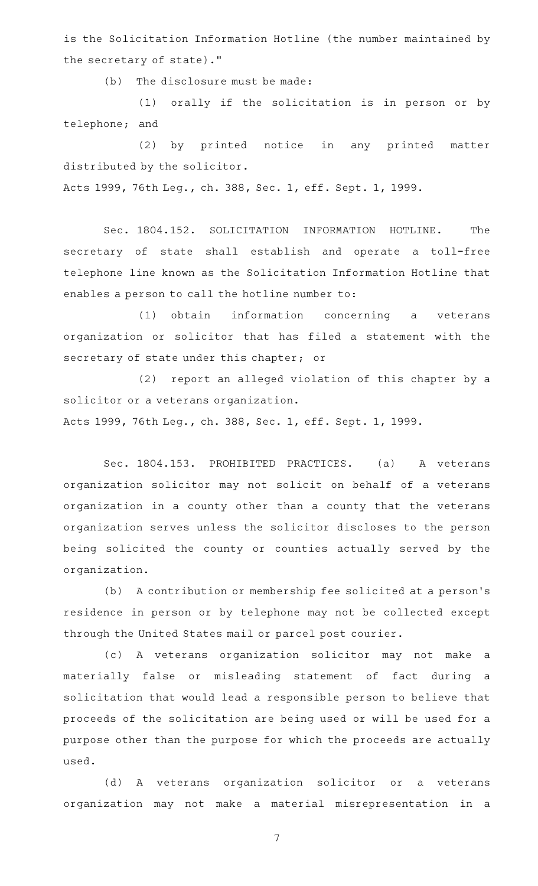is the Solicitation Information Hotline (the number maintained by the secretary of state)."

 $(b)$  The disclosure must be made:

(1) orally if the solicitation is in person or by telephone; and

(2) by printed notice in any printed matter distributed by the solicitor.

Acts 1999, 76th Leg., ch. 388, Sec. 1, eff. Sept. 1, 1999.

Sec. 1804.152. SOLICITATION INFORMATION HOTLINE. The secretary of state shall establish and operate a toll-free telephone line known as the Solicitation Information Hotline that enables a person to call the hotline number to:

(1) obtain information concerning a veterans organization or solicitor that has filed a statement with the secretary of state under this chapter; or

(2) report an alleged violation of this chapter by a solicitor or a veterans organization.

Acts 1999, 76th Leg., ch. 388, Sec. 1, eff. Sept. 1, 1999.

Sec. 1804.153. PROHIBITED PRACTICES. (a) A veterans organization solicitor may not solicit on behalf of a veterans organization in a county other than a county that the veterans organization serves unless the solicitor discloses to the person being solicited the county or counties actually served by the organization.

(b) A contribution or membership fee solicited at a person's residence in person or by telephone may not be collected except through the United States mail or parcel post courier.

(c)AAA veterans organization solicitor may not make a materially false or misleading statement of fact during a solicitation that would lead a responsible person to believe that proceeds of the solicitation are being used or will be used for a purpose other than the purpose for which the proceeds are actually used.

(d)AAA veterans organization solicitor or a veterans organization may not make a material misrepresentation in a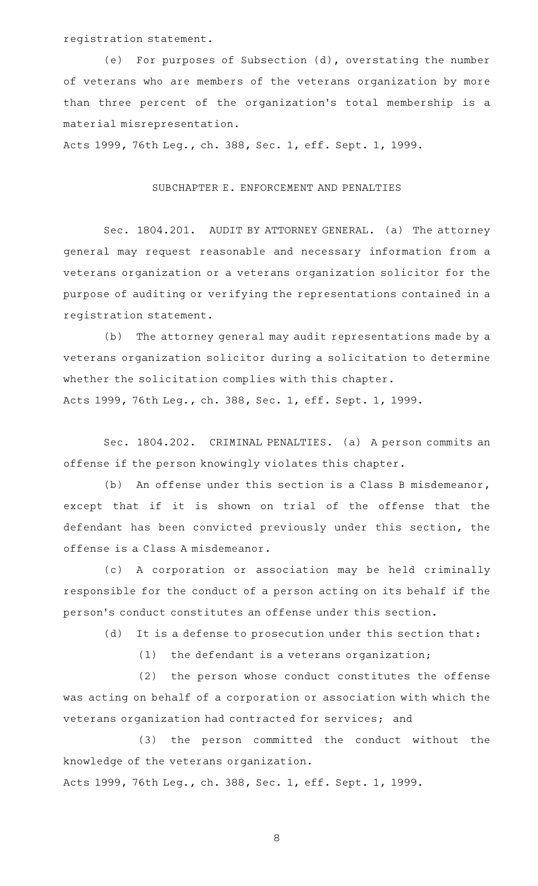registration statement.

(e) For purposes of Subsection (d), overstating the number of veterans who are members of the veterans organization by more than three percent of the organization 's total membership is a material misrepresentation.

Acts 1999, 76th Leg., ch. 388, Sec. 1, eff. Sept. 1, 1999.

## SUBCHAPTER E. ENFORCEMENT AND PENALTIES

Sec. 1804.201. AUDIT BY ATTORNEY GENERAL. (a) The attorney general may request reasonable and necessary information from a veterans organization or a veterans organization solicitor for the purpose of auditing or verifying the representations contained in a registration statement.

(b) The attorney general may audit representations made by a veterans organization solicitor during a solicitation to determine whether the solicitation complies with this chapter. Acts 1999, 76th Leg., ch. 388, Sec. 1, eff. Sept. 1, 1999.

Sec. 1804.202. CRIMINAL PENALTIES. (a) A person commits an offense if the person knowingly violates this chapter.

(b) An offense under this section is a Class B misdemeanor, except that if it is shown on trial of the offense that the defendant has been convicted previously under this section, the offense is a Class A misdemeanor.

(c)AAA corporation or association may be held criminally responsible for the conduct of a person acting on its behalf if the person 's conduct constitutes an offense under this section.

(d) It is a defense to prosecution under this section that:

(1) the defendant is a veterans organization;

(2) the person whose conduct constitutes the offense was acting on behalf of a corporation or association with which the veterans organization had contracted for services; and

(3) the person committed the conduct without the knowledge of the veterans organization. Acts 1999, 76th Leg., ch. 388, Sec. 1, eff. Sept. 1, 1999.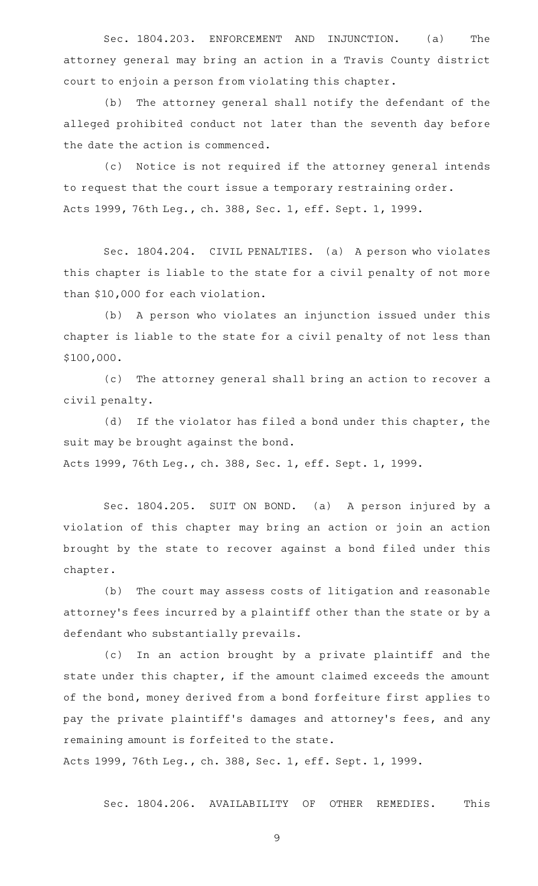Sec. 1804.203. ENFORCEMENT AND INJUNCTION. (a) The attorney general may bring an action in a Travis County district court to enjoin a person from violating this chapter.

(b) The attorney general shall notify the defendant of the alleged prohibited conduct not later than the seventh day before the date the action is commenced.

(c) Notice is not required if the attorney general intends to request that the court issue a temporary restraining order. Acts 1999, 76th Leg., ch. 388, Sec. 1, eff. Sept. 1, 1999.

Sec. 1804.204. CIVIL PENALTIES. (a) A person who violates this chapter is liable to the state for a civil penalty of not more than \$10,000 for each violation.

(b) A person who violates an injunction issued under this chapter is liable to the state for a civil penalty of not less than \$100,000.

(c) The attorney general shall bring an action to recover a civil penalty.

(d) If the violator has filed a bond under this chapter, the suit may be brought against the bond. Acts 1999, 76th Leg., ch. 388, Sec. 1, eff. Sept. 1, 1999.

Sec. 1804.205. SUIT ON BOND. (a) A person injured by a violation of this chapter may bring an action or join an action brought by the state to recover against a bond filed under this

chapter.

(b) The court may assess costs of litigation and reasonable attorney 's fees incurred by a plaintiff other than the state or by a defendant who substantially prevails.

(c) In an action brought by a private plaintiff and the state under this chapter, if the amount claimed exceeds the amount of the bond, money derived from a bond forfeiture first applies to pay the private plaintiff 's damages and attorney 's fees, and any remaining amount is forfeited to the state.

Acts 1999, 76th Leg., ch. 388, Sec. 1, eff. Sept. 1, 1999.

Sec. 1804.206. AVAILABILITY OF OTHER REMEDIES. This